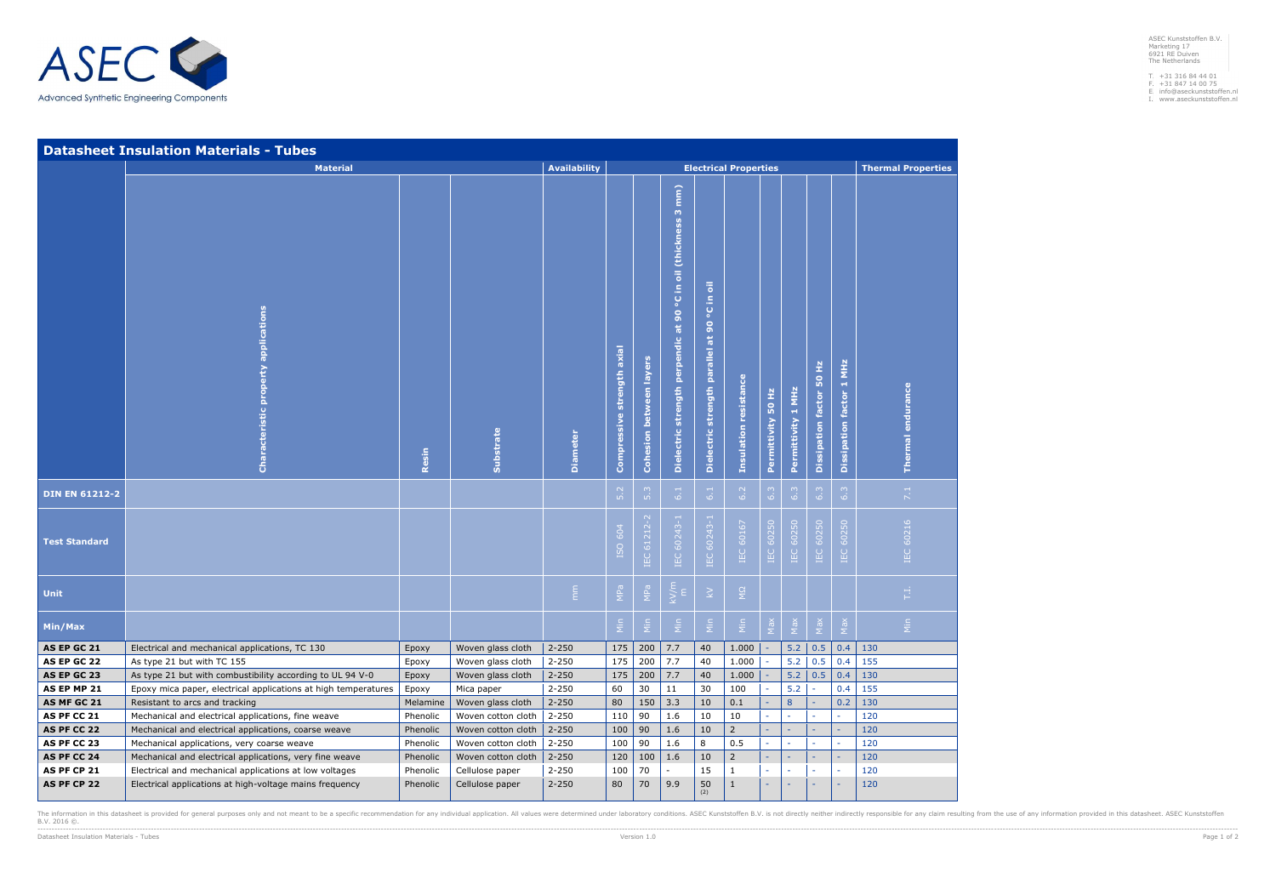ASEC Kunststoffen B.V. Marketing 17 6921 RE Duiven The Netherlands

- T. F. E. I.
- +31 316 84 44 01 +31 847 14 00 75 info@aseckunststoffen.nl www.aseckunststoffen.nl
- 



|                            | <b>Datasheet Insulation Materials - Tubes</b>                                                                     |                                                     |                                       |                        |                                    |                                |                                                                                           |                                                                                    |                          |                    |                    |                           |                                        |                   |
|----------------------------|-------------------------------------------------------------------------------------------------------------------|-----------------------------------------------------|---------------------------------------|------------------------|------------------------------------|--------------------------------|-------------------------------------------------------------------------------------------|------------------------------------------------------------------------------------|--------------------------|--------------------|--------------------|---------------------------|----------------------------------------|-------------------|
|                            | <b>Material</b>                                                                                                   | <b>Availability</b><br><b>Electrical Properties</b> |                                       |                        |                                    |                                |                                                                                           |                                                                                    |                          |                    |                    | <b>Thermal Properties</b> |                                        |                   |
|                            | <b>Characteristic property applications</b>                                                                       | Resin                                               | Substrate                             | <b>Diameter</b>        | strength axial<br>essive<br>Compre | <b>Cohesion between layers</b> | $\binom{m}{k}$<br>$\omega$<br>°C in oil (thickness<br>Dielectric strength perpendic at 90 | $\overline{\overline{\bullet}}$<br>£,<br>ပ္စ<br>Dielectric strength parallel at 90 | resistance<br>Insulation | Permittivity 50 Hz | Permittivity 1 MHz | Dissipation factor 50 Hz  | MHz<br>H,<br><b>Dissipation factor</b> | Thermal endurance |
| <b>DIN EN 61212-2</b>      |                                                                                                                   |                                                     |                                       |                        | $\overline{5.2}$                   | 5.3                            | $\overline{61}$                                                                           | 6.1                                                                                | 6.2                      | 6.3                | 6.3                | 6.3                       | 6.3                                    | 7.1               |
| <b>Test Standard</b>       |                                                                                                                   |                                                     |                                       |                        | ISO 604                            | IEC 61212-2                    | IEC 60243-1                                                                               | IEC 60243-1                                                                        | IEC 60167                | IEC 60250          | 60250<br>IEC       | IEC 60250                 | IEC 60250                              | IEC 60216         |
| Unit                       |                                                                                                                   |                                                     |                                       | $\sum_{i=1}^{n}$       | MPa                                | MPa                            | $k$ V/m                                                                                   | $\gtrsim$                                                                          | $\overline{S}$           |                    |                    |                           |                                        | $\mathbb{H}^+$    |
| Min/Max                    |                                                                                                                   |                                                     |                                       |                        | $\frac{c}{N}$                      | $\frac{c}{\Sigma}$             | $\frac{c}{\sum}$                                                                          | $\frac{1}{2}$                                                                      | $\frac{1}{2}$            | $\sum_{i=1}^{n}$   | $\epsilon_{N}$     | $M_{B}$                   | $M_{\rm B}$                            | $\frac{1}{2}$     |
| AS EP GC 21                | Electrical and mechanical applications, TC 130                                                                    | Epoxy                                               | Woven glass cloth                     | $2 - 250$              | 175                                | 200                            | 7.7                                                                                       | 40                                                                                 | 1.000                    |                    | 5.2                | 0.5                       | 0.4                                    | 130               |
| AS EP GC 22                | As type 21 but with TC 155                                                                                        | Epoxy                                               | Woven glass cloth                     | $2 - 250$              | 175                                | 200                            | 7.7                                                                                       | 40                                                                                 | 1.000                    |                    | 5.2                | 0.5                       | 0.4                                    | 155               |
| AS EP GC 23                | As type 21 but with combustibility according to UL 94 V-0                                                         | Epoxy                                               | Woven glass cloth                     | $2 - 250$              | 175                                | 200                            | 7.7                                                                                       | 40                                                                                 | 1.000                    |                    | 5.2                | 0.5                       | 0.4                                    | 130               |
| AS EP MP 21                | Epoxy mica paper, electrical applications at high temperatures                                                    | Epoxy                                               | Mica paper                            | $2 - 250$              | 60                                 | 30                             | 11                                                                                        | 30                                                                                 | 100                      |                    | 5.2                |                           | 0.4                                    | 155               |
| AS MF GC 21                | Resistant to arcs and tracking                                                                                    | Melamine                                            | Woven glass cloth                     | $2 - 250$              | 80                                 | 150                            | 3.3                                                                                       | 10                                                                                 | $0.1\,$                  |                    | $\bf 8$            |                           | 0.2                                    | 130               |
| AS PF CC 21                | Mechanical and electrical applications, fine weave                                                                | Phenolic                                            | Woven cotton cloth                    | $2 - 250$              | 110                                | 90                             | 1.6                                                                                       | 10                                                                                 | 10                       |                    |                    |                           |                                        | 120               |
| AS PF CC 22<br>AS PF CC 23 | Mechanical and electrical applications, coarse weave                                                              | Phenolic                                            | Woven cotton cloth                    | $2 - 250$              | 100                                | 90                             | 1.6                                                                                       | 10                                                                                 | $\overline{2}$<br>0.5    |                    |                    |                           |                                        | 120               |
| AS PF CC 24                | Mechanical applications, very coarse weave                                                                        | Phenolic                                            | Woven cotton cloth                    | $2 - 250$              | 100                                | 90<br>100                      | 1.6<br>1.6                                                                                | 8<br>10                                                                            | $\overline{2}$           |                    |                    |                           |                                        | 120<br>120        |
| AS PF CP 21                | Mechanical and electrical applications, very fine weave<br>Electrical and mechanical applications at low voltages | Phenolic<br>Phenolic                                | Woven cotton cloth<br>Cellulose paper | $2 - 250$<br>$2 - 250$ | 120<br>100                         | 70                             |                                                                                           | 15                                                                                 | $\mathbf{1}$             |                    |                    |                           |                                        | 120               |
| AS PF CP 22                | Electrical applications at high-voltage mains frequency                                                           | Phenolic                                            | Cellulose paper                       | $2 - 250$              | 80                                 | 70                             | 9.9                                                                                       | 50                                                                                 | $\mathbf{1}$             |                    |                    |                           |                                        | 120               |
|                            |                                                                                                                   |                                                     |                                       |                        |                                    |                                |                                                                                           | (2)                                                                                |                          |                    |                    |                           |                                        |                   |

The information in this datasheet is provided for general purposes only and not meant to be a specific recommendation for any individual application. All values were determined under laboratory conditions. ASEC Kunststoffe